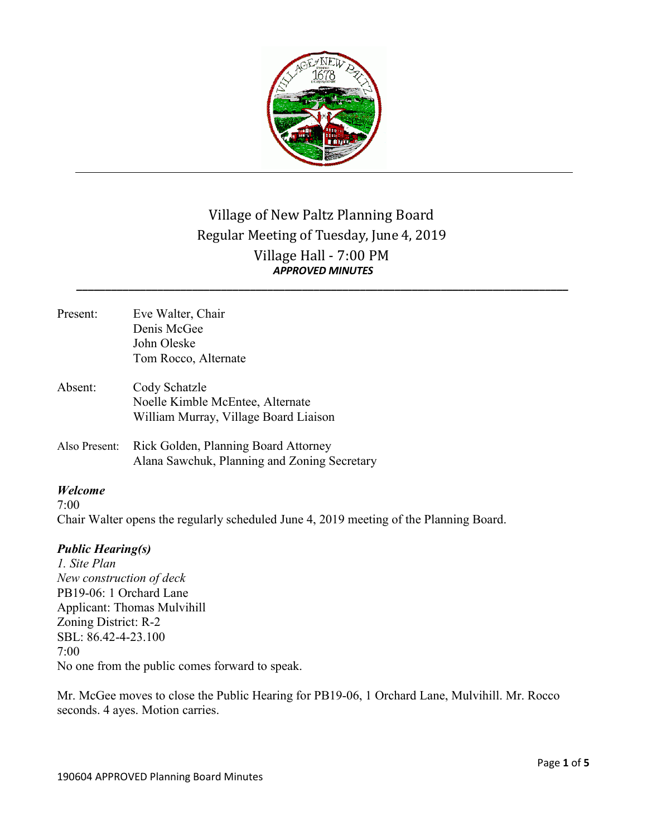

# Village of New Paltz Planning Board Regular Meeting of Tuesday, June 4, 2019 Village Hall - 7:00 PM *APPROVED MINUTES*

*\_\_\_\_\_\_\_\_\_\_\_\_\_\_\_\_\_\_\_\_\_\_\_\_\_\_\_\_\_\_\_\_\_\_\_\_\_\_\_\_\_\_\_\_\_\_\_\_\_\_\_\_\_\_\_\_\_\_\_\_\_\_\_\_\_\_\_\_\_\_\_\_\_\_\_\_\_\_\_\_\_\_\_\_\_*

- Present: Eve Walter, Chair Denis McGee John Oleske Tom Rocco, Alternate Absent: Cody Schatzle Noelle Kimble McEntee, Alternate William Murray, Village Board Liaison
- Also Present: Rick Golden, Planning Board Attorney Alana Sawchuk, Planning and Zoning Secretary

## *Welcome*

 $7.00$ Chair Walter opens the regularly scheduled June 4, 2019 meeting of the Planning Board.

## *Public Hearing(s)*

*1. Site Plan New construction of deck* PB19-06: 1 Orchard Lane Applicant: Thomas Mulvihill Zoning District: R-2 SBL: 86.42-4-23.100 7:00 No one from the public comes forward to speak.

Mr. McGee moves to close the Public Hearing for PB19-06, 1 Orchard Lane, Mulvihill. Mr. Rocco seconds. 4 ayes. Motion carries.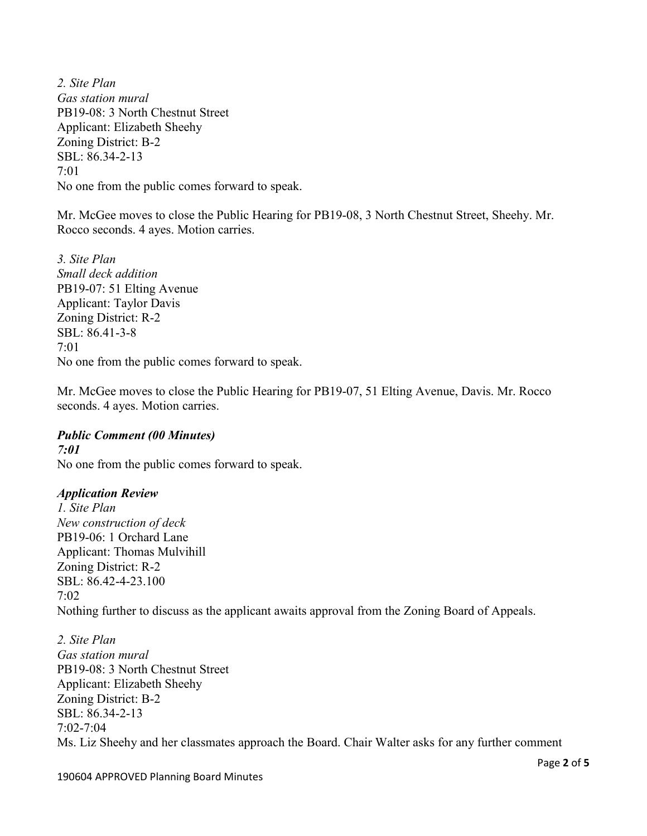*2. Site Plan Gas station mural* PB19-08: 3 North Chestnut Street Applicant: Elizabeth Sheehy Zoning District: B-2 SBL: 86.34-2-13 7:01 No one from the public comes forward to speak.

Mr. McGee moves to close the Public Hearing for PB19-08, 3 North Chestnut Street, Sheehy. Mr. Rocco seconds. 4 ayes. Motion carries.

*3. Site Plan Small deck addition* PB19-07: 51 Elting Avenue Applicant: Taylor Davis Zoning District: R-2 SBL: 86.41-3-8 7:01 No one from the public comes forward to speak.

Mr. McGee moves to close the Public Hearing for PB19-07, 51 Elting Avenue, Davis. Mr. Rocco seconds. 4 ayes. Motion carries.

## *Public Comment (00 Minutes)*

*7:01* No one from the public comes forward to speak.

### *Application Review*

*1. Site Plan New construction of deck* PB19-06: 1 Orchard Lane Applicant: Thomas Mulvihill Zoning District: R-2 SBL: 86.42-4-23.100  $7.02$ Nothing further to discuss as the applicant awaits approval from the Zoning Board of Appeals.

*2. Site Plan Gas station mural* PB19-08: 3 North Chestnut Street Applicant: Elizabeth Sheehy Zoning District: B-2 SBL: 86.34-2-13  $7.02 - 7.04$ Ms. Liz Sheehy and her classmates approach the Board. Chair Walter asks for any further comment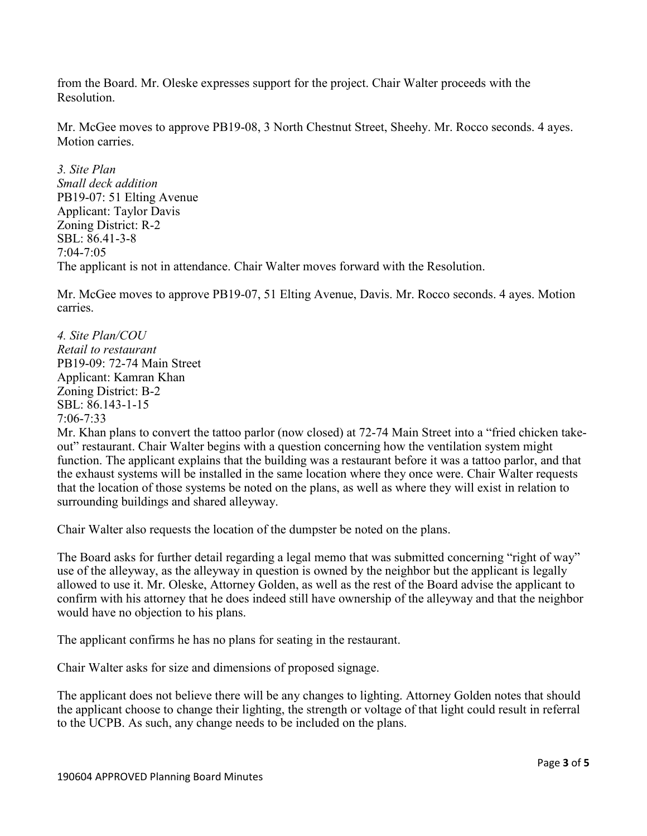from the Board. Mr. Oleske expresses support for the project. Chair Walter proceeds with the Resolution.

Mr. McGee moves to approve PB19-08, 3 North Chestnut Street, Sheehy. Mr. Rocco seconds. 4 ayes. Motion carries.

*3. Site Plan Small deck addition* PB19-07: 51 Elting Avenue Applicant: Taylor Davis Zoning District: R-2 SBL: 86.41-3-8 7:04-7:05 The applicant is not in attendance. Chair Walter moves forward with the Resolution.

Mr. McGee moves to approve PB19-07, 51 Elting Avenue, Davis. Mr. Rocco seconds. 4 ayes. Motion carries.

*4. Site Plan/COU Retail to restaurant* PB19-09: 72-74 Main Street Applicant: Kamran Khan Zoning District: B-2 SBL: 86.143-1-15 7:06-7:33

Mr. Khan plans to convert the tattoo parlor (now closed) at 72-74 Main Street into a "fried chicken takeout" restaurant. Chair Walter begins with a question concerning how the ventilation system might function. The applicant explains that the building was a restaurant before it was a tattoo parlor, and that the exhaust systems will be installed in the same location where they once were. Chair Walter requests that the location of those systems be noted on the plans, as well as where they will exist in relation to surrounding buildings and shared alleyway.

Chair Walter also requests the location of the dumpster be noted on the plans.

The Board asks for further detail regarding a legal memo that was submitted concerning "right of way" use of the alleyway, as the alleyway in question is owned by the neighbor but the applicant is legally allowed to use it. Mr. Oleske, Attorney Golden, as well as the rest of the Board advise the applicant to confirm with his attorney that he does indeed still have ownership of the alleyway and that the neighbor would have no objection to his plans.

The applicant confirms he has no plans for seating in the restaurant.

Chair Walter asks for size and dimensions of proposed signage.

The applicant does not believe there will be any changes to lighting. Attorney Golden notes that should the applicant choose to change their lighting, the strength or voltage of that light could result in referral to the UCPB. As such, any change needs to be included on the plans.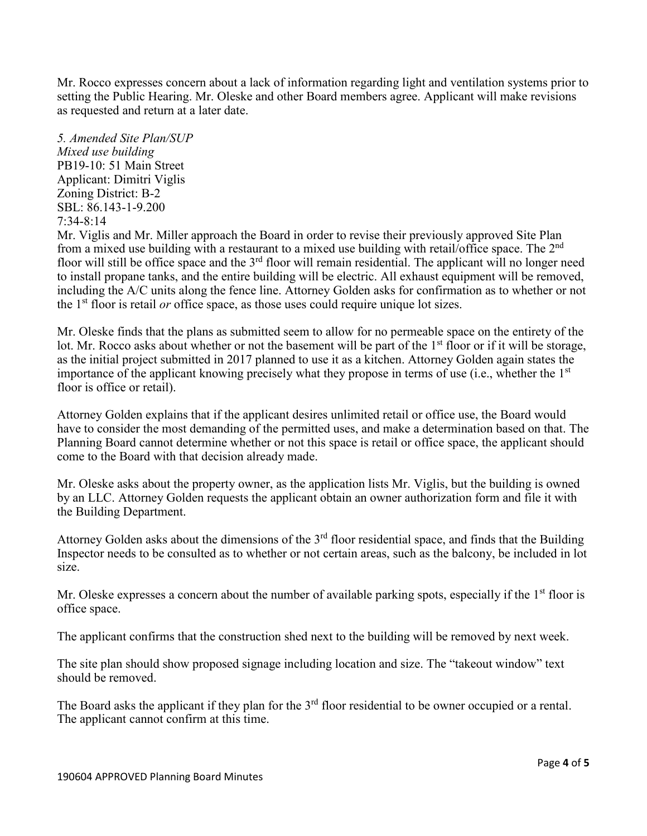Mr. Rocco expresses concern about a lack of information regarding light and ventilation systems prior to setting the Public Hearing. Mr. Oleske and other Board members agree. Applicant will make revisions as requested and return at a later date.

*5. Amended Site Plan/SUP Mixed use building* PB19-10: 51 Main Street Applicant: Dimitri Viglis Zoning District: B-2 SBL: 86.143-1-9.200 7:34-8:14

Mr. Viglis and Mr. Miller approach the Board in order to revise their previously approved Site Plan from a mixed use building with a restaurant to a mixed use building with retail/office space. The 2nd floor will still be office space and the 3<sup>rd</sup> floor will remain residential. The applicant will no longer need to install propane tanks, and the entire building will be electric. All exhaust equipment will be removed, including the A/C units along the fence line. Attorney Golden asks for confirmation as to whether or not the 1st floor is retail *or* office space, as those uses could require unique lot sizes.

Mr. Oleske finds that the plans as submitted seem to allow for no permeable space on the entirety of the lot. Mr. Rocco asks about whether or not the basement will be part of the 1<sup>st</sup> floor or if it will be storage, as the initial project submitted in 2017 planned to use it as a kitchen. Attorney Golden again states the importance of the applicant knowing precisely what they propose in terms of use (i.e., whether the  $1<sup>st</sup>$ floor is office or retail).

Attorney Golden explains that if the applicant desires unlimited retail or office use, the Board would have to consider the most demanding of the permitted uses, and make a determination based on that. The Planning Board cannot determine whether or not this space is retail or office space, the applicant should come to the Board with that decision already made.

Mr. Oleske asks about the property owner, as the application lists Mr. Viglis, but the building is owned by an LLC. Attorney Golden requests the applicant obtain an owner authorization form and file it with the Building Department.

Attorney Golden asks about the dimensions of the 3<sup>rd</sup> floor residential space, and finds that the Building Inspector needs to be consulted as to whether or not certain areas, such as the balcony, be included in lot size.

Mr. Oleske expresses a concern about the number of available parking spots, especially if the 1<sup>st</sup> floor is office space.

The applicant confirms that the construction shed next to the building will be removed by next week.

The site plan should show proposed signage including location and size. The "takeout window" text should be removed.

The Board asks the applicant if they plan for the 3<sup>rd</sup> floor residential to be owner occupied or a rental. The applicant cannot confirm at this time.